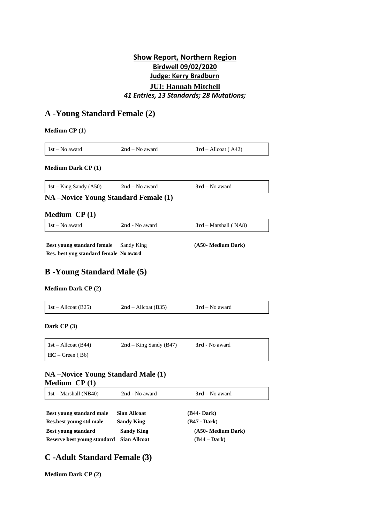# **Show Report, Northern Region Birdwell 09/02/2020 Judge: Kerry Bradburn JUI: Hannah Mitchell** *41 Entries, 13 Standards; 28 Mutations;*

# **A -Young Standard Female (2)**

| <b>Medium CP (1)</b> |  |
|----------------------|--|
|----------------------|--|

| $1st - No$ award                                                     | $2nd$ – No award         | $3rd$ – Allcoat (A42)  |
|----------------------------------------------------------------------|--------------------------|------------------------|
| <b>Medium Dark CP (1)</b>                                            |                          |                        |
| $1st - King$ Sandy (A50)                                             | $2nd - No$ award         | $3rd$ – No award       |
| <b>NA-Novice Young Standard Female (1)</b>                           |                          |                        |
| <b>Medium</b> $CP(1)$                                                |                          |                        |
| $1st - No$ award                                                     | 2nd - No award           | $3rd$ – Marshall (NA8) |
| Best young standard female<br>Res. best yng standard female No award | Sandy King               | (A50- Medium Dark)     |
| <b>B</b> -Young Standard Male (5)                                    |                          |                        |
| <b>Medium Dark CP (2)</b>                                            |                          |                        |
| $1st - Allocat (B25)$                                                | $2nd$ – Allcoat (B35)    | $3rd$ – No award       |
| Dark $CP(3)$                                                         |                          |                        |
| $1st - Allocat (B44)$                                                | $2nd - King$ Sandy (B47) | 3rd - No award         |

## **NA –Novice Young Standard Male (1) Medium CP (1)**

| $1st - Marshall (NB40)$ | 2nd - No award | $3rd$ – No award |
|-------------------------|----------------|------------------|
|-------------------------|----------------|------------------|

| Best voung standard male                 | <b>Sian Allcoat</b> | Œ  |
|------------------------------------------|---------------------|----|
| Res.best young std male                  | <b>Sandy King</b>   | (B |
| Best voung standard                      | <b>Sandy King</b>   |    |
| Reserve best voung standard Sian Allcoat |                     |    |

**Best young standard male Sian Allcoat (B44- Dark) Res.best young std male Sandy King (B47 - Dark) (A50- Medium** Dark) **Reserve best young standard Sian Allcoat (B44 – Dark)**

# **C -Adult Standard Female (3)**

**Medium Dark CP (2)**

**HC** – Green ( B6)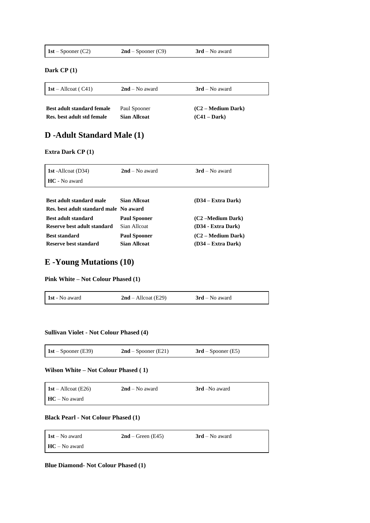| <b>1st</b> – Spooner (C2)<br>$3rd$ – No award<br>$2nd$ – Spooner (C9) |
|-----------------------------------------------------------------------|
|-----------------------------------------------------------------------|

### **Dark CP (1)**

 $\mathbf{r}$ 

| $\vert$ 1st – Allcoat (C41) | $2nd$ – No award    | $3rd$ – No award     |
|-----------------------------|---------------------|----------------------|
| Best adult standard female  | Paul Spooner        | $(C2 - Medium Dark)$ |
| Res. best adult std female  | <b>Sian Allcoat</b> | $(C41 - Dark)$       |

# **D -Adult Standard Male (1)**

### **Extra Dark CP (1)**

| 1st - Allcoat $(D34)$                  | $2nd - No$ award    | $3rd$ – No award     |
|----------------------------------------|---------------------|----------------------|
| HC - No award                          |                     |                      |
|                                        |                     |                      |
| Best adult standard male               | Sian Allcoat        | $(D34 - Extra Dark)$ |
| Res. best adult standard male No award |                     |                      |
| <b>Best adult standard</b>             | <b>Paul Spooner</b> | (C2 –Medium Dark)    |
| Reserve best adult standard            | Sian Allcoat        | (D34 - Extra Dark)   |
| <b>Best standard</b>                   | <b>Paul Spooner</b> | $(C2 - Medium Dark)$ |
| Reserve best standard                  | <b>Sian Allcoat</b> | (D34 – Extra Dark)   |

## **E -Young Mutations (10)**

### **Pink White – Not Colour Phased (1)**

| 1st - No award | $2nd - Allocat (E29)$ | $3rd$ – No award |  |
|----------------|-----------------------|------------------|--|
|----------------|-----------------------|------------------|--|

### **Sullivan Violet - Not Colour Phased (4)**

| 1st – Spooner (E39) | $2nd$ – Spooner (E21) | $3rd$ – Spooner (E5) |
|---------------------|-----------------------|----------------------|

## **Wilson White – Not Colour Phased ( 1)**

 $\blacksquare$ 

| $\vert$ 1st – Allcoat (E26) | $2nd$ – No award | 3rd –No award |
|-----------------------------|------------------|---------------|
| $HC - No$ award             |                  |               |

## **Black Pearl - Not Colour Phased (1)**

| $1st - No$ award     | $2nd$ – Green (E45) | $3rd$ – No award |
|----------------------|---------------------|------------------|
| $H_{\rm C-No}$ award |                     |                  |

**Blue Diamond- Not Colour Phased (1)**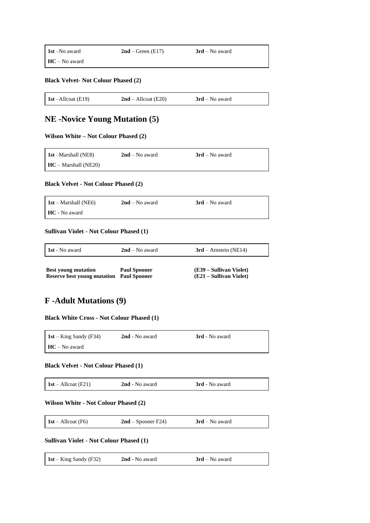| <b>1st</b> –No award | $2nd$ – Green (E17) | $3rd$ – No award |  |
|----------------------|---------------------|------------------|--|
| $HC - No$ award      |                     |                  |  |

**Black Velvet- Not Colour Phased (2)**

| 1st $-A$ llcoat (E19) | $2nd - Allocat (E20)$ | $3rd$ – No award |
|-----------------------|-----------------------|------------------|

# **NE -Novice Young Mutation (5)**

### **Wilson White – Not Colour Phased (2)**

| <b>1st</b> – Marshall (NE8)     | $2nd$ – No award | $3rd$ – No award |
|---------------------------------|------------------|------------------|
| $\mathbf{HC} -$ Marshall (NE20) |                  |                  |

### **Black Velvet - Not Colour Phased (2)**

| $1st$ – Marshall (NE6) | $2nd$ – No award | $3rd$ – No award |
|------------------------|------------------|------------------|
| <b>HC</b> - No award   |                  |                  |

### **Sullivan Violet - Not Colour Phased (1)**

| 1 <b>1st</b> - No award            | $2nd - No$ award    | $3rd$ – Arnstein (NE14) |
|------------------------------------|---------------------|-------------------------|
| <b>Best young mutation</b>         | <b>Paul Spooner</b> | (E39 – Sullivan Violet) |
| <b>Reserve best young mutation</b> | <b>Paul Spooner</b> | (E21 – Sullivan Violet) |

# **F -Adult Mutations (9)**

**Black White Cross - Not Colour Phased (1)**

| $1st - King$ Sandy (F34) | 2nd - No award | <b>3rd</b> - No award |
|--------------------------|----------------|-----------------------|
| $HC - No$ award          |                |                       |

### **Black Velvet - Not Colour Phased (1)**

| <b>1st</b> – Allcoat (F21) | 2nd - No award | 3rd - No award |
|----------------------------|----------------|----------------|
|                            |                |                |

### **Wilson White - Not Colour Phased (2)**

| $1st - Allocat$ (F6) | $2nd$ – Spooner F24) | $3rd$ – No award |  |
|----------------------|----------------------|------------------|--|
|----------------------|----------------------|------------------|--|

### **Sullivan Violet - Not Colour Phased (1)**

| 1st – King Sandy (F32) | 2nd - No award | $3rd$ – No award |  |
|------------------------|----------------|------------------|--|
|------------------------|----------------|------------------|--|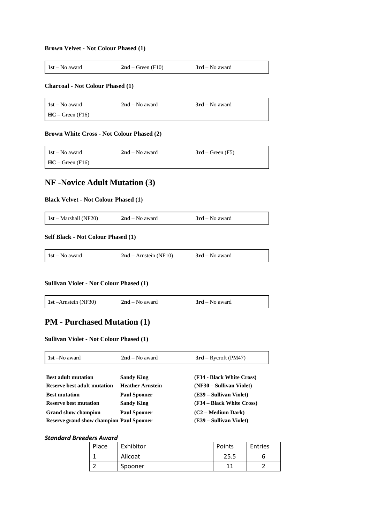### **Brown Velvet - Not Colour Phased (1)**

| $1st - No$ award<br>$2nd$ – Green (F10) | $3rd$ – No award |
|-----------------------------------------|------------------|
|-----------------------------------------|------------------|

## **Charcoal - Not Colour Phased (1)**

| $1st - No$ award   | $2nd$ – No award | $3rd$ – No award |
|--------------------|------------------|------------------|
| $HC - Green (F16)$ |                  |                  |

### **Brown White Cross - Not Colour Phased (2)**

| $1st - No$ award                     | $2nd$ – No award | $3rd$ – Green (F5) |
|--------------------------------------|------------------|--------------------|
| $\mathbf{HC} - \mathbf{Green}$ (F16) |                  |                    |

# **NF -Novice Adult Mutation (3)**

### **Black Velvet - Not Colour Phased (1)**

| <b>1st</b> – Marshall (NF20) | $2nd$ – No award | $3rd$ – No award |  |
|------------------------------|------------------|------------------|--|
|------------------------------|------------------|------------------|--|

## **Self Black - Not Colour Phased (1)**

| $1st - No$ award | $2nd$ – Arnstein (NF10) | $3rd$ – No award |
|------------------|-------------------------|------------------|
|------------------|-------------------------|------------------|

## **Sullivan Violet - Not Colour Phased (1)**

# **PM - Purchased Mutation (1)**

## **Sullivan Violet - Not Colour Phased (1)**

| 1st –No award                                   | $2nd$ – No award        | $3rd$ – Rycroft (PM47)    |  |
|-------------------------------------------------|-------------------------|---------------------------|--|
|                                                 |                         |                           |  |
| <b>Best adult mutation</b>                      | <b>Sandy King</b>       | (F34 - Black White Cross) |  |
| Reserve best adult mutation                     | <b>Heather Arnstein</b> | (NF30 – Sullivan Violet)  |  |
| <b>Best mutation</b>                            | <b>Paul Spooner</b>     | (E39 – Sullivan Violet)   |  |
| <b>Reserve best mutation</b>                    | <b>Sandy King</b>       | (F34 – Black White Cross) |  |
| <b>Grand show champion</b>                      | <b>Paul Spooner</b>     | $(C2 - Medium Dark)$      |  |
| <b>Reserve grand show champion Paul Spooner</b> |                         | (E39 – Sullivan Violet)   |  |

## *Standard Breeders Award*

| Place | Exhibitor | Points | Entries |
|-------|-----------|--------|---------|
|       | Allcoat   | 25.5   |         |
|       | Spooner   |        |         |